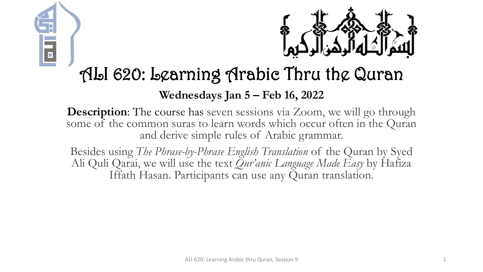



# ALI 620: Learning Arabic Thru the Quran

#### **Wednesdays Jan 5 – Feb 16, 2022**

**Description:** The course has seven sessions via Zoom, we will go through some of the common suras to learn words which occur often in the Quran and derive simple rules of Arabic grammar.

Besides using *The Phrase-by-Phrase English Translation* of the Quran by Syed Ali Quli Qarai, we will use the text *Qur'anic Language Made Easy* by Hafiza Iffath Hasan. Participants can use any Quran translation.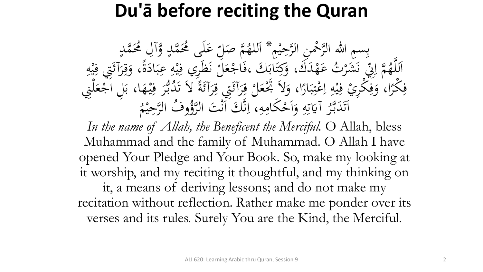# **Du'ā before reciting the Quran**

بِسِمِ اللهِ الرَّحْمِنِ الرَّحِيْمِ \* اَللهُمَّ صَلِّ<br>مَّذَبَهُ وَصَلَّى الرَّحِيْمِ \* اَللهُمَّ صَل م<br>م ه<br>يه ب<br>ه **€** للهُمَّ صَلِّ عَلَى مُحَمَّدٍ وَّآلِ مُحَمَّدٍ<br>مدين من الله  $\frac{1}{2}$ ا  $\overline{a}$  $\overline{a}$ لم<br>ح ى<br>. َ َك مد ه ت ع **ک** رت<br>.。 شر َ َ بر<br>فر س<br>رقب<br>رقب مَّة إِلَيْ<br>مَ إِلَيْ  $\overline{\mathcal{L}}$ ا ہے<br>، اَللَّهُمَّ إِنِّي نَشَرْتُ عَهْدَكَ، وَكِتَابَكَ ،فَاجْعَلَّ نَظَرِي فِيْهِ عِبَادَةً، وَقِرَآئَتِي فِيْهِ<br>حَمَّا رَبِّي مَشَرْتُ عَهْدَكَ، وَكِتَابَكَ ،فَاجْعَلَّ نَظَرِي فِيْهِ عِبَادَةً، وَقِرَآئَتِي فِيْهِ ا<br>۔  $\frac{1}{2}$ بز و<br>را ا<br>ما  $\ddot{\cdot}$ بر ِ  $\frac{1}{2}$ ه<br>به <u>،</u> بر<br>فر م ر<br>بر<br>بر <u>ة</u>  $\ddot{\circ}$ ر<br>ا <u>ة</u> َ ِ مد<br>م ه<br>بد <u>،</u> م<br>گ ر<br>گ  $\int$  $\overline{\phantom{a}}$ فِكْرًا، وَفِكْرِيْ فِيْهِ اِعْتِبَارًا، وَلاَ تَجْعَلْ قِرَآئَتِي قِرَآئَةً لاَ تَدُبُّرَ فِيْهَا، بَلِ اَجْعَلْنِي<br>مَكْرًا، وَفِكْرِيْ فِيْهِ إِعْتِبَارًا، وَلاَ تَجْعَلْ قِرَآئَتِي قِرَآئَةً لاَ تَدُبُّرَ فِيْهَا، بَلِ  $\frac{1}{2}$  $\ddot{\cdot}$ ۰.<br>ه ہ<br>ر ر<br>ا  $\ddot{\cdot}$ بر  $\ddot{.}$ :<br>\*<br>/ ى<br>م  $\frac{1}{2}$ ا ِ  $\frac{1}{2}$ ه<br>به ِ<br>ِهِ و<br>ِ ر<br>ا **ٔ فا** م ر<br>ر ِ<br>په م<br>گ ë<br>. م<br>گ ر<br>گ ت<br>ا **م**<br>. ب<br>.  $\epsilon$  $\ddot{.}$ ِ ر<br>tı ِ آيَاتِهِ وَأَحْكَامِهِ  $\mathbf{A}$ ا<br>م  $\frac{1}{2}$ ا ہ<br>ر ِ ِ<br>ٽ قة<br>م  $\ddot{\ddot{\bm{x}}}$ ر<br>ح اَتَدَبَّرُ آيَاتِهِ وَاَحْكَامِهِ، اِنَّكَ اَنْتَ ا<br>مستقط الله عليها الله عليها الله ل<br>ا تى<br>. بر<br>ن  $\ddot{\phantom{0}}$  $\ddot{\phantom{a}}$ .<br>ر ق.<br>ف  $\int$ بر<br>ز  $\overline{\mathcal{L}}$ ا م<br>. وفُ الرَّحِيْمُ  $\ddot{ }$ ه<br>ي لتَوُّرُّ<br>لروًّا

In the name of Allah, the Beneficent the Merciful. O Allah, bless Muhammad and the family of Muhammad. O Allah I have opened Your Pledge and Your Book. So, make my looking at it worship, and my reciting it thoughtful, and my thinking on it, a means of deriving lessons; and do not make my recitation without reflection. Rather make me ponder over its verses and its rules. Surely You are the Kind, the Merciful.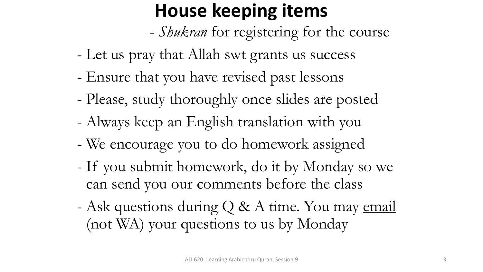# **House keeping items**

- *Shukran* for registering for the course
- Let us pray that Allah swt grants us success
- Ensure that you have revised past lessons
- Please, study thoroughly once slides are posted
- Always keep an English translation with you
- We encourage you to do homework assigned
- If you submit homework, do it by Monday so we can send you our comments before the class
- Ask questions during Q & A time. You may email (not WA) your questions to us by Monday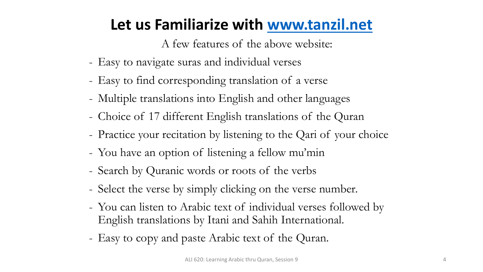#### **Let us Familiarize with [www.tanzil.net](http://www.tanzil.net/)**

A few features of the above website:

- Easy to navigate suras and individual verses
- Easy to find corresponding translation of a verse
- Multiple translations into English and other languages
- Choice of 17 different English translations of the Quran
- Practice your recitation by listening to the Qari of your choice
- You have an option of listening a fellow mu'min
- Search by Quranic words or roots of the verbs
- Select the verse by simply clicking on the verse number.
- You can listen to Arabic text of individual verses followed by English translations by Itani and Sahih International.
- Easy to copy and paste Arabic text of the Quran.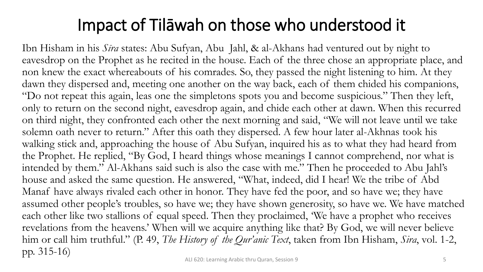## Impact of Tilāwah on those who understood it

Ibn Hisham in his *Sīra* states: Abu Sufyan, Abu Jahl, & al-Akhans had ventured out by night to eavesdrop on the Prophet as he recited in the house. Each of the three chose an appropriate place, and non knew the exact whereabouts of his comrades. So, they passed the night listening to him. At they dawn they dispersed and, meeting one another on the way back, each of them chided his companions, "Do not repeat this again, leas one the simpletons spots you and become suspicious." Then they left, only to return on the second night, eavesdrop again, and chide each other at dawn. When this recurred on third night, they confronted each other the next morning and said, "We will not leave until we take solemn oath never to return." After this oath they dispersed. A few hour later al-Akhnas took his walking stick and, approaching the house of Abu Sufyan, inquired his as to what they had heard from the Prophet. He replied, "By God, I heard things whose meanings I cannot comprehend, nor what is intended by them." Al-Akhans said such is also the case with me." Then he proceeded to Abu Jahl's house and asked the same question. He answered, "What, indeed, did I hear! We the tribe of Abd Manaf have always rivaled each other in honor. They have fed the poor, and so have we; they have assumed other people's troubles, so have we; they have shown generosity, so have we. We have matched each other like two stallions of equal speed. Then they proclaimed, 'We have a prophet who receives revelations from the heavens.' When will we acquire anything like that? By God, we will never believe him or call him truthful." (P. 49, *The History of the Qur'anic Text*, taken from Ibn Hisham, *Sira*, vol. 1-2, pp. 315-16)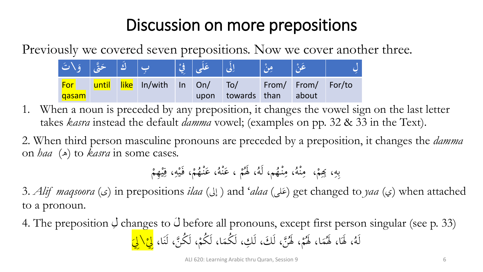## Discussion on more prepositions

Previously we covered seven prepositions. Now we cover another three.

| كَ   حَتَّى   وَ\تَ |       |                     | عَلَى إِ فَيْ |                          |                    |  |
|---------------------|-------|---------------------|---------------|--------------------------|--------------------|--|
| For                 | until | like In/with In On/ |               | $\mathsf{To}/\mathsf{.}$ | From/ From/ For/to |  |
| <b>gasam</b>        |       |                     | upon          | towards than             | about              |  |

- 1. When a noun is preceded by any preposition, it changes the vowel sign on the last letter takes *kasra* instead the default *damma* vowel; (examples on pp. 32 & 33 in the Text).
- 2. When third person masculine pronouns are preceded by a preposition, it changes the *damma* on *haa* ( $\triangle$ ) to *kasra* in some cases.

م م ُ ، ََل ُ م، لَه ُ ه م ن ِ ، م ُ ه م ن ِ ، م م م ، ِبِِ ِ ه ِ ب م ِهم م ي ِ ، ف ِ ه م ي َ ، ف م م ُ ه م ن َ ، ع ُ ه م ن َ ، ع

3. *Alif maqsoora* (د) in prepositions *ilaa* (إلى) and '*alaa* (فَعَلى) get changed to *yaa* (ي) when attached **ء** to a pronoun.

4. The preposition  $\dot{\mathcal{Q}}$  changes to  $\ddot{\mathcal{Q}}$  before all pronouns, except first person singular (see p. 33) ُمْ، لَهُنَّ، لَكَ، لَكِ، لَكُمَا، لَكُمْ، لَكُمْ، لَكُنَّ، لَنَا،  $\ddot{\lambda}$ م  $\blacktriangle$ م ُ ا، ََل م  $\blacktriangle$ لَّهُ، لَهَا، لَهُمَا، لَهُمْ، لَهُنَّ، لَكَ، لَكِ، لَكُمَا، لَكُمْ، لَكُنَّ، لَنَا، <mark>لِيْ\لِيَ</mark> ا م  $\zeta$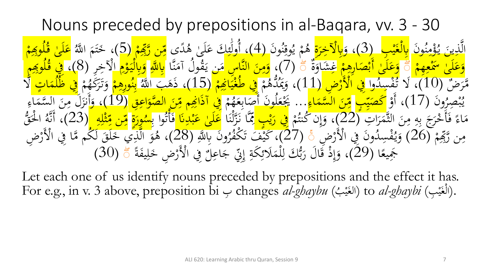Nouns preceded by prepositions in al-Baqara, vv. 3 - 30 ونَ<br>م ند<br>ا بر<br>م  $\frac{1}{\sqrt{2}}$ مر<br>ح مار ە<br>قول ي<mark>ڊ</mark><br>پ و<br><mark>يد</mark> <u>َ</u><br>-ينَ<br><mark>ين</mark> ذِ ن<br>ک الَّذِينَ يُؤْمِنُونَ <mark>بِالْغَيْبِ</mark> ا<br>م ي .<br>اف ا<br>ا <mark>بِالْغَيْبِ</mark> (3)، و<mark>َبالْآخِرَة</mark>ِ هُمْ يُوقِنُونَ<br>مَسْلِمَ عَمَّ ہ<br>ا <mark>ر</mark><br>ا و<br>م :<br>ق یہ<br>\ و<br>به م<br>لح م ھ<br>' هُمْ يُوقِنُونَ (4)، أُولَئِكَ عَلَىٰ هُدًى <mark>مِّن رَّبِّهِمْ</mark><br>على جهر الله القرآن وي الله على الله عنها الله عنها ل<br>\_ **ک**<br>. ءِ<br>م م<br>م ا<br>ا م<br>ا ِ ن رَبِّھ<br>مُصلحہ ِ<br>م  $\frac{\lambda}{\lambda}$ <mark>مِّن رَّبِّهِمْ (5</mark>)  $\frac{2}{\sqrt{2}}$ ، خَتَمَ اللَّهُ <mark>عَلَىٰ</mark><br>ْج  $\mathfrak{g}$ بز  $\dot{\phantom{0}}$ وِبِِ <u>ل</u> ل نف<br>ما بزة<br>ق ا ا <mark>ک</mark> م م م ِهم ।<br>प्र ع ا<br>ا  $\frac{2}{\sqrt{2}}$ لَى <mark>ک</mark> ع و<br>ِ و  $\frac{1}{2}$ صلے<br>ن م ا قَدَ اِرُ مِنْ الْمَسْكَرَ عَنْ الْمَسْكَرَ عَنْ الْمَسْكَرَ وَيَشَادَةً<br><mark>وَعَلَىٰ أَبْصَارِهِمْ غِشَا</mark>وَةٌ وَ ।<br>द्र  $\overline{\phantom{a}}$ <mark>ب</mark><br>. ا<br>ا <mark>ک</mark> ِ<br>پر و<br>د يُّ (7)، <mark>وَمِنَ النَّاسِ مَن</mark> يَقُولُ آمَنَّا <mark>بِاللَّهِ وَبِالْيَوْمِ</mark> الْآخِرِ (8)، فِي قُلُومِهِمْ (<br>مَرْضَعَ مِعْ النَّاسِ مِن يَقُولُ آمَنَّا <mark>بِاللَّهِ وَبِالْيَوْمِ</mark> الْآخِرِ (8)، فِي قُلُومِهِمْ .<br>\_<br>\_  $\frac{\lambda}{\lambda}$ َ  $\mathbf{A}$ ید<br>.<br>.  $\overline{\phantom{a}}$ و<br>په ्<br>व م ار<br>و <mark>ل</mark><br>ا ا<br>ا  $\ddot{\cdot}$ ا وِبِِ <u>ل</u>  $\int$ <u>ة</u><br>-ِِف ق رَ ض<sup>عة</sup><br>وه  $(10)$  مَّرَض ن<br>هر وا تفسلا<br>ءَ کَ م<br>لم ِ<br>سِرِ .<br>م ء<br>فم ، لَا تُفْسِدُوا فِي الْأَرْضِ (11)، وَيَمُدُّهُمْ <mark>ر</mark> م ھ<br>ِ ، وَيَمَدُّهُمْ فِي طُغْيَاغِهِمْ (15)<br>، وَيَمَدُّهُمْ فِي طُغْيَاغِهِمْ (15) ە<br>ئ ا<br>ا  $\frac{1}{2}$ ي .<br>-<br>-ا<br>ا ، ذَهَبَ اللَّه<mark>ُ بِنُورِهِمْ</mark> وَتَرَكَّهُمْ<br>سياسي واللَّهُ بِنُورِهِمْ وَتَرَكَّهُمْ الميلياني<br>المراجع م  $\frac{1}{2}$ ن ِ<br>با ر<br>بر تى<br>. ہ<br>/ م<br>م رَكَٰهُمْ <mark>فِي ظُلُمَاتٍ</mark><br>رَكَٰهُمْ فِي اللَّهَ وَ  $\overline{\phantom{a}}$  $\frac{1}{2}$ ا  $\frac{1}{\sqrt{2}}$ ال ن<br>كا م <u>ل</u>  $\int$ <u>ل</u> ونَ<br>م ر<br>بج ِ م<br>م ه<br>به يا<br>' يْبْصِرُونَ (17)، أَوْ <mark>كَصَيِّبِ</mark> ه<br>د كَصَيِّبِ مِّنَ السَّمَاءِ<br>سميد 20 سا<br>م  $\overline{\phantom{a}}$  $\overline{\mathbf{z}}$  $\frac{\blacktriangle}{\blacktriangle}$  $\frac{1}{\sqrt{2}}$ ِ<br>م  $\frac{\lambda}{\lambda}$ <mark>مِّنَ السَّمَاءِ</mark>... يَجْعَلُونَ أَصَابِعَهُمْ م<br>ا  $\frac{1}{2}$ يَجْعَلُونَ أَصَابِعَهُمْ فِي أَذَانِهِمْ مِّنَ الصَّوَاعِقِ<br>يَجْعَلُونَ أَصَابِعَهُمْ فِي أَذَانِهِمْ مِّنَ الصَّوَاعِقِ ه<br>پن ِ<br>ب بد<br>ند ا<br>ا م و<br>ا ं<br>र ِ<br>م هر<br>د .<br>آذَانِهِمْ مِّنَ الْصَّوَاعِقِ (19) ا $\frac{1}{2}$ اء  $\blacklozenge$ س<br>ستم ِينَ<br>بد ال<br>ر  $\ddot{\phantom{0}}$ ن  $\mathbf{A}$ َل م ز<br>. أَنز ہ<br>ا <u>، وَأ</u> مَاءً فَأَخْرَجَ بِهِ مِنَ الثَّمَرَاتِ (22)<br>مَاءً فَأَخْرَجَ بِهِ مِنَ الثَّمَرَاتِ (22) ا ر<br>په  $\blacklozenge$ .<br>-<br>-ِ` ِ ِ<br>ب ب ू<br>\ .<br>< <u>ة</u><br>. ف  $\zeta$ اء  $\mathcal{A}$  $\overline{\phantom{a}}$ م وَإِن كُنتُمْ <mark>فِي رَيْب كِ</mark>مَّا نَزَّلْنَا <mark>عَلَىٰ عَبْدِنَا فَ</mark>أَنُوا بِ<mark>سُورَة</mark><br>، وَإِن كُنتُمْ فِي رَيْب كُمَّا نَزَّلْنَا عَلَىٰ عَبْدِنَا فَأَنُوا بِسُورَة إ َ ।<br>। بابو ه<br>پي <mark>ل</mark><br>- $\frac{1}{2}$ ر<br>مذ ل<br>أ  $\frac{1}{2}$ <mark>ک</mark> ا<br>ا ه<br>به ِ<br>با بر<br>ت أ <u>ة</u><br>.  $\ddot{o}$ <mark>ُ</mark>ر<br>: <mark>ب</mark><br>ا <u>سُمُورَة مِّن مِّتْلِهِ</u>  $\overline{\mathbf{a}}$ ِ ش<mark>ند</mark><br>من  $\frac{1}{2}$ ِ<br>م **A**<br>T ن <mark>م</mark>ّز ِ<br>م  $\frac{\lambda}{\lambda}$ مِّن مِّثْلِهِ (23)، أَنَّهُ الْحَقُّ م<br>ا ر<br>ح ا لە<br>ج ، أَنَّهُ<br>، أَنَّهُ م م ِ<br>پِھ مِن رَّبِّهِمْ (26) وَيُفْسِدُونَ فِي الْأَرْضَ<br>مِن رَّبِّهِمْ (26) وَيُفْسِدُونَ فِي الْأَرْضَ ر<br>، .<br>م ید<br>ر ِّدِيْفَسِيدُونَ فِي الْأَرْضَ ۚ (27)، كَيْفَ تَكْفُرُونَ بِاللَّهِ<br>وَيُفْسِدُونَ فِي الْأَرْضَ ۚ (27)، كَيْفَ تَكْفُرُونَ بِاللَّهِ َ لَّهُ مَنْ تَكْفُرُونَ بِاللَّهِ (28)، هُوَ الَّذِي خَلَقَ لَكُم مَّا فِي الْأَرْضِ<br>كَيْفَ تَكْفُرُونَ بِاللَّهِ (28)، هُوَ الَّذِي خَلَقَ لَكُم مَّا فِي الْأَرْضِ ت<br>ت :<br>) خ<br>د و<br>پر م ا َجَمِيعًا (29)، وَإِذْ قَالَ رَبُّكَ لِلْمَلَائِكَةِ إِتّي جَاعِلٌ فِي الْأَرْضِ خَـ 人<br>人  $\dot{\phantom{0}}$ ر<br>ر  $\overline{\phantom{0}}$ ل اعِ ّن ِ ج **ْ** ، وَإِذْ قَالَ رَبُّكَ لِلْمَلَائِكَةِ إِنِّي جَاعِلٌ فِي الْأَرْضِ خَلِيفَةً  $\int$ إ **تة** ِ<br>وگ  $\blacklozenge$ م ِ بڑ<br>ب  $\overline{\phantom{a}}$ ة<br>م .<br>-<br>- $\int$ إ َ  $\ddot{\delta}$ ِ  $\frac{1}{2}$  $(30)\,$   $\,{}^{\sharp}$ 

Let each one of us identify nouns preceded by prepositions and the effect it has. For e.g., in v. 3 above, preposition bi بِ changes *al-ghaybu* ( │<br>│ (الْغَيْبِ) to *al-ghaybi* (الغَيْبُ).  $\ddot{\cdot}$ ه<br>يو .<br>فر  $\ddot{\cdot}$ ه<br>يو .<br>فر م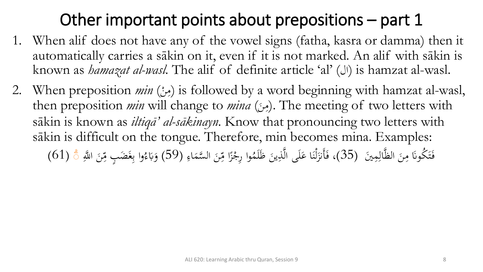# Other important points about prepositions – part 1

- 1. When alif does not have any of the vowel signs (fatha, kasra or damma) then it automatically carries a sākin on it, even if it is not marked. An alif with sākin is known as *hamazat al-wasl*. The alif of definite article 'al' (ال) is hamzat al-wasl.
- 2. When preposition *min* (مِنْ) is followed by a word beginning with hamzat al-wasl, .<br>ا  $\mathbf{A}$ then preposition *min* will change to *mina* (مِنْ). The meeting of two letters with  $\ddot{\phantom{0}}$  $\mathbf{A}$ sākin is known as *iltiqā' al-sākinayn.* Know that pronouncing two letters with sākin is difficult on the tongue. Therefore, min becomes mina. Examples: فَتَكُونَا مِنَ الظَّالِمِينَ (35)، فَأَنزَلْنَا عَلَى الَّذِينَ ظَلَمُوا رِجْزًا مِّنَ السَّمَاءِ ِ<br>ل  $\ddot{\phantom{0}}$  $\mathbf{A}$  $\ddot{\lambda}$ ت <u>ف</u> ِ<br>ِع  $\blacktriangle$  $\ddot{\phantom{0}}$ ِس<br>م م<br>^ وا رِجْزًا مِّ ز<br>( م ، فَأَنزَلْنَا عَلَى الَّذِينَ ظَلَمُوا رِجْزًا مِّنَ السَّمَاءِ (59) وَبَاءُوا بِغَضَبٍ مِّنَ اللَّهِ  $\ddot{\phantom{0}}$ ِّبِ **ک**  $\ddot{\phantom{0}}$ ن ڵ<br>-ل ز<br>ً  $\ddot{\phantom{0}}$ ِ<br>م  $\frac{1}{2}$ وا بِغَضَبٍ مِّ ِ<br>; ِ<br>ب </sub><br>د ء ِب و َبِ<br>. َ  $(61)$ ँ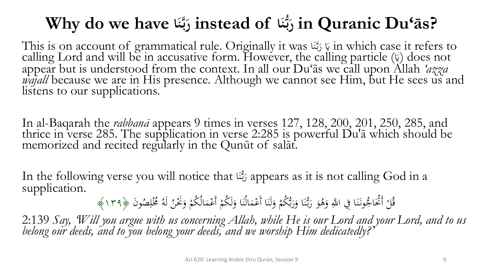#### **Why do we have ا َ ن ا of instead ر ُّ ن ر in Quranic Du'ās?**  بر<br>ب**ر ب**

This is on account of grammatical rule. Originally it was َ َي ا َّ ب ر in which case it refers to يا<br>آ ن ر<br>. calling Lord and will be in accusative form. However, the calling particle (إيّ) does not یا<br>∆ appear but is understood from the context. In all our Du'ās we call upon Allah *'azza wajall* because we are in His presence. Although we cannot see Him, but He sees us and listens to our supplications.

In al-Baqarah the *rabbanā* appears 9 times in verses 127, 128, 200, 201, 250, 285, and thrice in verse 285. The supplication in verse 2:285 is powerful Du'ā which should be memorized and recited regularly in the Qunūt of salāt.

In the following verse you will notice that رَبُّنَا appears as it is not calling God in a  $\ddot{\phantom{0}}$ ن ر<br>ا supplication.

قُلْ أَتُحَاجُونَنَا فِي اللَّهِ وَهُوَ رَبُّنَا وَرَبُّكُمْ وَلَنَا أَعْمَالُنَا وَلَكُمْ أَ م َ  $\ddot{\cdot}$ ن ه<br>- $\ddot{\cdot}$ َ م بر<br>بہ  $\frac{1}{2}$ و<br>- $\ddot{\cdot}$ ن ر<br>ِ َ َ  $\ddot{\phantom{0}}$ ن .<br>.<br>. ئ<br>گ م  $\overline{\phantom{a}}$ ُعْمَالُكُمْ وَنَحْنُ لَهُ مُخْلِصُونَ ﴿١٣٩﴾<br>-َ م  $\blacktriangle$ 

2:139 *Say, 'Will you argue with us concerning Allah, while He is our Lord and your Lord, and to us belong our deeds, and to you belong your deeds, and we worship Him dedicatedly?'*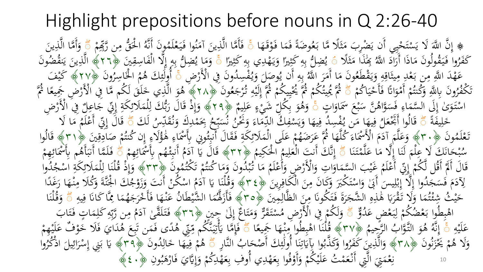# Highlight prepositions before nouns in Q 2:26-40

﴾ إِنَّ اللَّهَ لَا يَسْتَحْيِبِي أَن يَضْرِبَ مَثَلًا مَّا بَعُوضَةً فَمَا فَوْقَهَ<br>يَهْ يَهُ ثُمَّا فَوْقَهَ ه<br>, ھ<br>ج ة<br>.<br>. ه<br>و ضُرِبَ مَثَلًا مَّا بَعُ<br>بابَر برَآه هُ وَبِراهُ ب<br>. بذ<br>ثم م<br>: يَضْہ<br>ئے لیکن إِنَّ اللَّهَ لَا يَسْتَحْيِي أَن يَضْرِبَ مَثَلًا مَّا بَعُوضَةً فَمَا فَوْقَهَا ۚ فَأَمَّا الَّذِينَ آمَنُوا فَيَعْلَمُونَ أَنَّهُ اخْقُّ<br>يَكُوشُ أَنَّهُ إِنَّ أَنَّهُ الْجَوَّاءِ وَإِنَّهُ وَإِلاَّ مِنْ الْمَرْسَلَ وَإ ي م<br>: ت م<br>ا نم<br>و  $\int$  لز<br>ا ا ہے<br>، فَأَمَّا الَّذِينَ آمَنُوا فَيَعْلَمُونَ أَنَّهُ اخْقٌ مِن رَّبِّهِمْ<br>سَنَ ءَ يَجَ وَيَدْ وَاللَّهُ اخْتَهُ وَيَدَ اللَّهُ الْحَقُّ مِن رَّبِّهِمْ م  $\ddot{\cdot}$ <u>ف</u><br>. و<br>م  $\mathcal{L}$ .<br>-<br>、 ِّبِ م<br>// مِن رَّبِّهِ<br>\* لَ  $\mathbf{A}$  $\frac{2}{\sqrt{2}}$ ً وَأَمَّا الَّذِينَ<br>ءَ :<br>-<br>-ِّب َ ِيجَٰذَاً مَثَلًا<br>وَبَرَى ث  $\mathcal{A}$ ى<br>؟ كَفَرُوا فَيَقُولُونَ مَاذَا أَرَادَ اللَّهُ بِحَٰذَاَ مَثَلًا ﴾ يُضِلُّ بِهِ كَثِيرًا<br>حَقَرُوا فَيَقُولُونَ مَاذَا أَرَادَ اللَّهُ بِحَنْداَ مَثَلًا ﴾ يُضِلُّ بِهِ كَثِيرًا ر<br>. ر<br>ِ م<br>ر  $\ddot{\hat{}}$ َ ر<br>پر -<br>...  $\mathcal{L}$  $\ddot{z}$ ِ ِ<br>ب يُضِلُّ بِهِ كَثِيرًا وَيَهْدِي بِهِ كَثِيرًا خَّ وَمَا يُضِلُّ بِهِ إِلَّا الْفَاسِرِ<br>يُضِلُّهُ بِهِ كَثِيرًا وَيَهْدِي بِهِ كَثِيرًا خَ وَمَا يُضِلُّ بِهِ إِلَّا الْفَاسِرِ )<br>.<br>.  $\ddot{z}$ ِ ِ<br>ب  $\overline{a}$ يه<br>. َ ノミッ .<br>م م إ ِ ِ<br>ب ت<br>وَمَا يُضِلُّ بِهِ إِلَّا الْفَاسِقِينَ ﴿٢٦﴾ الَّذِينَ يَنقُضُونَ<br>نَقْعَهُ م<br>ہ َ يا<br>ح ي .<br>-<br>- $\frac{1}{2}$ مہ<br>پور وص يہ<br>ر أَن ي ه ِ ِ<br>ب ب<br>نر عَطْدَ اللَّهِ مِن بَعْدِ مِيثَاقِهِ وَيَقْطَعُونَ مَا أَمَرَ اللَّهُ بَهِ أَنْ يُوصَلَ وَيُفْسِدُونَ فِي الْأَرْضَ<br>في جَي اللَّهِ مِن بَعْدِ مِيثَاقِهِ وَيَقْطَعُونَ مَا أَمَرَ اللَّهُ بَهِ أَنْ يُوصَلَ وَيُفْسِدُونَ فِي ر<br>و  $\mathcal{A}$ ه<br>وي يد<br>. ہ<br>' ِ <u>ة</u> شہ<br>پر  $\mathbf{A}$  $\overline{a}$ بہ<br>و ۔<br>ِم ل<br>ر ر<br>. يا<br>. لَ وَيُفْسِدُونَ فِي الْأَرْضِ ۚ أَوْلَٰٓئِكَ هُمُ الْخَاسِرُو<br>يَذَرَّ مُ و<br>ه ً<br>ب م الحساسينز<br>په ځ لز<br>ا ا أُولَٰٓئِكَ هُمُ الْخَاسِرُونَ ﴿٢٧﴾ كَيْفَ<br>يَآْنَبُ مَسَلَمَ يَسُمُمُ سَيْنَ وَإِذْ يَقْوَلُونَ الْمُؤْثَّرِ ِ<br>جگہ ئم َٰ م رُونَ بِاللَّهِ وَكُنتُمْ أَمْوَاتًا فَأَحْيَاكُمْ<br>مَعَه اللَّهِ وَكُنتُمْ أَمْوَاتًا فَأَحْيَاكُمْ  $\ddot{\cdot}$ ي م<br>ج  $\ddot{\phantom{a}}$ و<br>ج م ال و<br>ا ر ُ مكف ت<br>ل بہ<br>ت -<br>مخل ُّ ثُمَّ يُحِيَّنُكُمْ ثُمَّ يُحْيِيكُمْ ثُمَّ إِلَيْهِ تُرْجَعُونَ<br>سَمَانِ عَمَّ مِمْسَكُمْ ثُمَّ يَحْسَنُ م ِّ يُحْيِبِكُمْ ثُمَّ إِلَيْهِ تُرْجَعُونَ ﴿٢٨﴾ هُوَ الَّذِي خَلَقَ لَكُم مَّا فِي اُلْأَرْضِ جَمِ<br>يُحْيِبِكُمْ ثُمَّ إِلَيْهِ تُرْجَعُونَ ﴿٢٨﴾ هُوَ الَّذِي خَلَقَ لَكُم مَّا فِي الْأَرْضِ جَم .<br>. ر<br>ا ِّ  $\ddot{\cdot}$ .<br>ِءِ م ي  $\ddot{\cdot}$ ي م .<br>.<br>. .<br>.  $\frac{1}{2}$ و<br>آ هُوَ الَّذِي خَلَقَ لَكُم مَّا فِي الْأَرْضِ جَمِيعًا ثُمَّ<br>مَانَ شَاءَ الْمَسْكَسِياتِ مِنْ الْأَرْضِ أَقْمَ **گ**ر اسْتَوَىٰ إِلَى السَّمَاءِ فَسَوَّاهُنَّ سَبْعَ سَمَاوَاتٍ ۚ وَهُوَ بِكُلِّ شَيْ<br>يَا يَبُّ عَلَّا يَذْكُرُ إِنْ يَوْسَلِ وَيَسْ وَيَسْ الْمَرْضَ وَيَسْ الْمَرْضَ وَيَسْتَدَبَّ .<br>ا∶ ا َ م<br>م ب  $\overline{a}$ ر<br>ر ِ<br>ِع ه<br>وف  $\int$ َ م م ِ ُكل و ِ<br>ب د<br>نر و<br>. ھ<br>م ۇھُ َ  $\mathfrak{g}$ ءِ عَلِيمٌ ﴿٢٩﴾ وَإِذْ قَالَ رَبُّكَ لِلْمَلَائِكَةِ إِيّ جَاعِلٌ فِي الْأَرْضِ<br>يَا عَلِيمٌ ﴿٢٩﴾ وَإِذْ قَالَ رَبُّكَ لِلْمَلَائِكَةِ إِيّ جَاعِلٌ فِي الْأَرْضِ  $\overline{1}$ ى<br>ك **بر**<br>.  $\int$ إ **تة** ِ<br>وگ  $\blacktriangle$ ا ِ<br>ل بڑ<br>بہ ر<br>پ <u>ة</u><br>. :<br>-<br>- $\int$ إ و<br>ڊ ر<br>ا )<br>اُ ل  $\ddot{\delta}$ خَلِيفَةً<br>ح  $\overline{1}$ خ<br>ج لُّ قَالُوا أَجَّعَلُ فِيهَا مَن يُفْسِدُ فِيهَا وَيَسْفَكُّ الدِّمَاءَ وَ<br>بِينَ سَيَاءَ بِيَ إِذْءٌ مِن يُفْسِدُ فِيهَا وَيَسْفَكُّ الدِّمَاءَ وَ ہ<br>حر ى<br>ەە م<br>. ِ ِ م ي َ ہے<br>ا ِ يد<br>را فِيهَا مَن يُم م<br>∕ ا لى<br>ئ  $\ddot{\cdot}$ قَالُوا أَبْخُعَلُ فِيهَا مَن يُفْسِدُ فِيهَا وَيَسْفِكُ الدِّمَاءَ وَنُحْنُ نُسَبِّحُ بِحَمْدِكَ وَنُقَدِّسُ لَكَ<br>يَدَ يَرَّا بِهَنَّ إِيَّا الْجَمْعُ الْمَرْسَمُ إِلَيْهِ يَجْبُرُوهِ بِهَا الْإِيلِ وَجَهَا إِيلِهِ إِيلِ ة<br>م لَ بِحَمْدِكَ وَنُقَدِّسُ<br>فَيَمْسَعَةُ و<br>پ  $\overline{a}$ م ئ<br>گ  $\zeta$ سر و<br>بنج و مجمعہ ہو<br>نے فیسکبہ<br>نہ کی ا سا<br>بر  $\overline{\phantom{a}}$ بر<br>ز نمْق<br>جنس  $\frac{1}{2}$ ً قَالَ إِنِّي أَعْلَمُ مَا لَا<br>مُرْمِد سَاتِ حَمَلاً اللہ  $\int$ ة<br>م م<br>ا بِّي أَعْلَمُ<br>يُستَعَلَّمُ م تَعْلَمُونَ ﴿٣٠﴾ وَعَلَّمَ آدَمَ الْأَسْمَاءَ كُلُّهَا ثُمَّ عَرَضَهُمْ عَلَى الْمَلَائِكَةِ<br>وَمَرَازَا مَرْكَبُ الْمَسْتَمَرَ الْمَرْكَبَ وَأَوْسَ الْمَرْكَبَةِ مِنْ الْمَالِدِينَ وَلَ م **تة** ِ<br>وَلَ  $\lambda$ م **ک** م<br>ا وَعَلَّمَ آدَمَ الْأَسْمَاءَ كُلَّهَا ثُمَّ عَرَضَهُمْ عَلَى الْمَلَائِكَةِ فَقَالَ أَنبِئُونِي بِأَسْمَاءِ هُؤُلَاءِ إِن كُنتُمْ صَادِقِينَ ﴿٣١﴾ قَالُوا<br>إِكِمَا إِنَّهُ مَا الْأَسْمَاءَ كُلَّهَا ثُمَّ عَرَضَهُمْ عَلَى ال ر<br>( ى<br>ئى **ائ** ء<br>ا **م**<br>ا ا مُ  $\overline{a}$ م<br>ا ء<br>۔ ہ<br>ر إ ِ<br>ِع  $\frac{1}{2}$ ه<br>ه ِ **م**<br>ا و<br>م  $\ddot{\cdot}$ ۔<br>م م<br>م ِ<br>قا ِ<br>ِ  $\frac{1}{2}$ ة<br>ق حَانَكَ كَ عِلْمَ لَنَا إِلَّا مَا عَلَّمْتَنَا<br>مَرَبِّ عَهْ ند<br>. ن  $\ddot{\lambda}$ م **ک**  $\mathcal{L}$  $\ddot{\mathbf{r}}$ الم م ا<br>: م<br>م ه<br>به  $\frac{1}{1}$ و<br>سد  $\frac{2}{\sqrt{2}}$ حًّ إِنَّكَ أَنتَ الْعَلِيمُ الْحَكِ<br>مَدَانِ مِناهُمُونَ مَؤْوَاهُ مَ ل<br>ا ا م<br>مج نَّكَ أَنتَ الْعَلِيمُ<br>ُ ِ<br>با **گ**ر م بر<br>ز  $\int$ إ ُ يمُ ﴿٢٣﴾ قَالَ يَا آدَمُ أَنبِئْهُم بِأَسْمَائِهِمْ<br>مُعْمَدُ حَسَّمَتُ مِنْ مِنْ الْمَسْرَحِمِينَ م ِ<br>وگ **م.**<br>. ُ أَنبِئَـهُـ م  $\ddot{\cdot}$ م<br>، قَالَ يَا آدَمُ<br>وُ د<br>ا يا<br>-ة<br>و  $\frac{1}{2}$ ً فَلَمَّا أَنبَأَهُم بِأَسْمَائِهِمْ<br>وَفَيَ مَا إِلَيْهِمْ بِأَسْمَائِهِمْ َ م<br>ا ر<br>گ **م.** ه<br>مز ا أَنبَأَهُ<br>.  $\ddot{\cdot}$ ُ مْ غَيْبَ السَّمَاوَاتِ وَالْأَرْضِ وَأَعْلَمُ<br>أَيَن إِدْ بِحْرَبِهِ بِجَدِيدٍ إِلاَّ الْأَرْضِ وَأَعْلَمُ م و<br>ا ر<br>ر ا َ ا َ ه<br>ر ا<br>ر م<br>.<br>. قَالَ أَكَمْ أَقُل لَّكُمْ إِنِّي أَعْلَمُ غَيْبَ السَّمَاوَاتِ وَالْأَرْضِ وَأَعْلَمُ مَا نُبْذُونَ وَمَا كُنتُمْ تَكْتُمُونَ<br>اقْتِ كَرَبِّ كَمَّا الْإِيمَانِ فَيَ الْمَاءَ الْمَسْرَ يَسَمَّا وَالْأَرْضِ وَأَعْلَمُ مَا ن م  $\int$ إ م )<br>م<br>• <u>ة</u><br>. مَا تُبْدُونَ وَمَا كُنتُمْ تَكَتُمُونَ ﴿٣٣﴾ وَإِذْ قُلْنَا لِلْمَلَائِكَةِ اسْجُدُ<br>« لَهُمْ يَهْتُمْ الْمَسْتَمَرَّة عَلَيْهِ الْمَسْتَمَرَّة الْمَسَامَ الْمَسْتَمَرَّة الْمَسْجُدُ تر<br>. بہ<br>ن م م<br>ر و<br>بر **م**<br>. ه<br>به م<br>\ **بر**<br>بر وَإِذْ قُلْنَا لِلْمَلَائِكَةِ اسْجُدُوا<br>مُسْتَمَسِيْنِ وَمُسَبِّدَةٍ م  $\frac{1}{4}$ ِ<br>وگ ھ<br>ب م ِ<br>ل ند<br>: م ا<br>ِم إ و<br>و  $\ddot{\phantom{0}}$ وَكَانَ مِنَ الْكَافِرِينَ<br>يُم ِ ِ فِي :<br>-<br>- $\mathbf{A}$ و<br>پ َبِرَ<br>پ لِآدَمَ فَسَجَدُوا إِلَّا إِبْلِيس أَبَىٰ وَاسْتَكْبَرَ وَكَانَ مِنَ الْكَافِرِينَ ﴿٢٤﴾ وَقُلْنَا يَا آدَمُ اسْكُنْ أَنْتَ وَزَوْجُكَ الجُنَّةَ وَزَ<br>رَه فِي دَقِيما بِأَبِدِيَّةَ بِهِ إِبْرَا إِنَّهُ بِرَيْجِ مِنَّ إِنَّ  $\ddot{\lambda}$ ت م ہ<br>ا <u>ً</u>  $\overline{1}$ ب<br>م ه<br>ب  $\int$ ا<br>،<br>، مُ ر<br>. و<br>ا لہ<br>ح ه<br>ر َ .<br>.<br>. .<br>. م<br>مم وَقُلْنَا يَا آدَمُ اسْكُنْ أَنتَ وَزَوْجُكَ الْجَنَّةَ وَكُلًا مِنْهَا رَغَدًا<br>عَمَّةً وَّ  $\ddot{\phantom{0}}$ يا<br>.  $\frac{1}{1}$ ہ<br>ر ل<br>ا ر<br>: لا<br>يا .<br>م  $\mathbf{A}$ ِّ شِئْتُمَا وَلَا تَقْرَبَا هَٰذِهِ الشَّجَرَةَ فَتَكُونَا مِنَ الظَّالِمِينَ<br>وَفَيْ سِنْ الظَّالِمِينَ ؚ  $\frac{1}{2}$ ِّ بند<br>و ر :<br>. ة<br>ر  $\mathcal{L}$ ج<br>بر ۔<br>ِہ  $\frac{1}{2}$  $\boldsymbol{\beta}$ با<br>ہ ر<br>ر .<br>م ه<br>و **ه** و<br>ته م<br>م حَيْثُ شِئْتُمَا وَلَا تَقْرَبَا هَٰذِهِ الشَّجَرَةَ فَتَكُونَا مِنَ الظَّالِمِينَ ﴿٥٣﴾ فَأَزَلَّمُهَا الشَّيْطَانُ عَنْـهَا فَأَخْرَجَهُمَا مِّ<br>ماه في روم مُركز اروم مُتَّرَبا والشَّجَرَةَ مُتَكُونَا مِنَ الظَّالِمِينَ ﴿ ي َ  $\ddot{\phantom{0}}$  $\blacktriangle$ **€** ُمَا الشَّيْطَانُ عَنْهَا فَأَخْرَجَهُ<br>هسس كَرَاءً مَرَّجَةً **بر**<br>بر ر<br>. .<br>. ہے<br>ت **ئہ**<br>. ى<br>ج  $\blacktriangle$ اب<br>ا فَأَزَلَّهُمَا الشَّيْطَانُ عَنْهَا فَأَخْرَجَهُمَا مِمَّا كَانَا فِيهِ .<br>(  $\overline{\mathbf{a}}$ ِ ن<br>نا ∍<br>‴् ا لن م ُ ۖ ق و  $\ddot{\phantom{0}}$ و<br>ر اهْبِطُوا بَعْضُكُمْ لِبَعْضٍ عَدُوٌّ  $\overline{a}$ م بر<br>و ِ<br>ل ل م<br>ما ب<br>، بد م •<br>|<br>|} حَّ وَلَكُمْ فِي الْأَرْضِ مُسْتَقَرٌّ وَمَتَاعٌ إِلَىٰ حِينِ ﴿٣٦﴾ فَتَلَقَّىٰ آدَمُ مِن رَّبِّهِ كَلِمَاتٍ فَ<br>... ﴾ وَلَىٰ وَلَمْ إِنِّي وَ إِنَّ وَ الصَّائِمَةِ الْمَاسَ وَ الصَّائِمِ اللَّهُ عَنْ اللَّهُ عِنْ الرَّأْسُ ہ<br>ن  $\ddot{\lambda}$ م<br>ا ر<br>مج م و<br>پ  $\int$ إ َ  $\frac{1}{2}$  $\mathbf{A}$  $\overline{1}$ ِ ِ<br>بِ ب<br>.<br>، مِن رَّبِّهِ  $\mathbf{A}$ مُ فَتَلَقَّىٰ آدَمُ مِن رَّبِّهِ كَلِمَاتٍ فَتَابَ<br>وَيَسْتَمَدُّ مَدَيْنَ فَيَكِ وَيَشْتَرَكَ وَيَسْتَمْسَعَ  $\overline{\phantom{a}}$ ا<br>ا  $\ddot{\lambda}$ َ نذ<br>ہ ت ِ عَلَيْهِ ۚ  $\ddot{\mathbf{r}}$ ى<br>تە م<br>. بُ الرَّحِيمُ<br>بُر الرَّحِيمُ ।<br>। وَ التَّوَّا<br>التَّوَّا ھ<br>ج ۿؙ ر<br>و إِنَّهُ هُوَ التَّوَّابُ الرَّحِيمُ ﴿٢٧﴾ قُلْنَا اهْبِطُوا مِنْهَا جَمِيعًا<br>أَنَّهُ هُوَ التَّوَّابُ الرَّحِيمُ ﴿٢٧﴾ قُلْنَا اهْبِطُوا مِنْهَا جَمِيعًا بر<br>ز  $\int$ ر<br>ر ہے<br>ا بذبذ .<br>م بد م<br>ب  $\ddot{\cdot}$  $\frac{2}{\sqrt{2}}$ صلے<br>آب ِ<br>م فَإِمَّا يَأْتِيَنَّكُمْ مِّتِي ْهُدًى فَمَن تَبِعَ هُدَايَ فَلَا خَوْا<br>مَاتَّا يَأْتِيَنَّكُمْ مِّنِي هُدًى مَالِهِ ن<br>نم ِ<br>منہ<br>س َ<br>نِ قة<br>م م<br>أ يا<br>ــا ِ<br>پِر ف<br>أ م<br>ر .<br>م ِ<br>،  $\overline{\phantom{a}}$  $\zeta$ بر تى<br>^ **△**<br>- .  $\overline{\phantom{a}}$ تِّي هُلَّي فَمَن تَبِعَ هُٰذَايَ فَلَا خَوْفٌ عَلَيْهِمْ<br>نَهَا مَالُهُ فَيَ هُ مِسْهُ بَايَهِ الْعَلَمَانِ بِهِمْ الْمُحْمَّلُ  $\hat{z}$ ء<br>ِ ه يَحْزَنُونَ<br>م بر<br>نار ز<br>ً م م وَلَا هُمْ يَخْزَنُونَ ﴿٣٨﴾ وَالَّذِينَ كَفَرُوا وَكَذَّبُوا بِآيَاتِنَا أُولَٰئِكَ أَصْحَابُ النَّ<br>وَلَا هُمْ يَخْزَنُونَ ﴿١٨﴾ وَالَّذِينَ كَفَرُوا وَكَذَّبُوا بِآيَاتِنَا أُولَٰئِكَ أَصْحَابُ النَّ َ َ م ِ<br>جگہ ئم َٰ  $\frac{1}{2}$ ن ِ<br>ِنَ ة<br>تر يا<br>. بہ<br>ر ذب َّ َك وا و َ وَالَّذِينَ كَفَرُوا وَكَذَّبُوا بِآيَاتِنَا أُولَٰٓئِكَ أَصْحَابُ النَّارِ<br>مِسْلَمَّا وَدَوْيَرِهِ مِنْ رَوْسُ وَيَوْمِيَّا وَلَيْفَ وَمِنْ وَيَوْمِيْنِ وَيَوْمِيْنِ وَيَوْمِيْنِ وَيَوْ .<br>أ ِ َ رمو<br>پ ة هُمْ فِيهَا خَالِدُونَ<br>و ِ<br>ل .<br>. َ ِ م <u>ه</u> هُمْ فِيهَا خَالِدُونَ ﴿٣٩﴾ يَا بَنِي إِسْرَائِيلَ اذْكُرُوا يَا بَنِي إِسْرَائِيلَ اذْكُرُو<br>\*  $\overline{\phantom{0}}$ ِ<br>پُ ر<br>ا م ب<br>. ب يا<br>-م مْهَمْتِيَ الَّتِي أَنْعَمْتُ عَلَيْكُمْ وَأَوْفُوا بِعَهْدِي أُوفِ بِعَهْدِكُمْ وَإِيَّايَ فَارْهَبُونِ ِ<br>ب **گر** ِ<br>ب  $\overline{a}$ **گر** ِ<br>ب م َ م  $\ddot{\cdot}$ **ک گر** .<br>د  $\ddot{\cdot}$  $\blacklozenge$ م ِ<br>ِن ز  $\ddot{\cdot}$ و<br>بر  $\mathbf{z}$ وَإِيَّايَ فَارْهَبُونِ ﴿ وَ لَا عَلَيْهِ ر<br>ا َ  $\ddot{\cdot}$  $\int$ إ َ 10